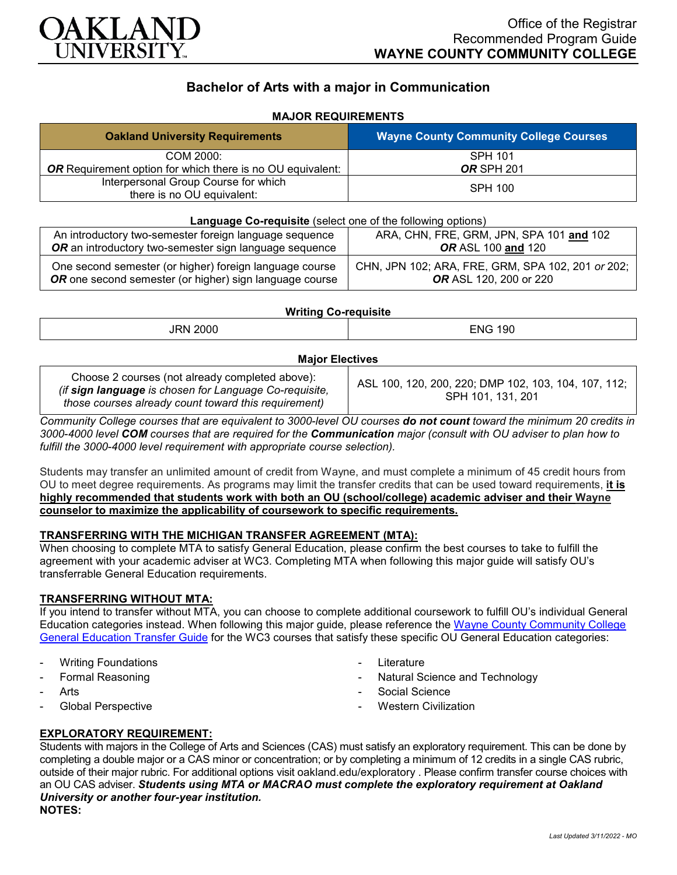

# **Bachelor of Arts with a major in Communication**

## **MAJOR REQUIREMENTS**

| <b>Oakland University Requirements</b>                             | <b>Wayne County Community College Courses</b> |
|--------------------------------------------------------------------|-----------------------------------------------|
| COM 2000:                                                          | <b>SPH 101</b>                                |
| <b>OR</b> Requirement option for which there is no OU equivalent:  | <b>OR SPH 201</b>                             |
| Interpersonal Group Course for which<br>there is no OU equivalent: | <b>SPH 100</b>                                |

| Language Co-requisite (select one of the following options)                                                        |                                                                                    |  |
|--------------------------------------------------------------------------------------------------------------------|------------------------------------------------------------------------------------|--|
| An introductory two-semester foreign language sequence                                                             | ARA, CHN, FRE, GRM, JPN, SPA 101 and 102                                           |  |
| OR an introductory two-semester sign language sequence                                                             | <b>OR ASL 100 and 120</b>                                                          |  |
| One second semester (or higher) foreign language course<br>OR one second semester (or higher) sign language course | CHN, JPN 102; ARA, FRE, GRM, SPA 102, 201 or 202;<br><b>OR</b> ASL 120, 200 or 220 |  |

#### **Writing Co-requisite**

| $\sim$                             |                |
|------------------------------------|----------------|
| $\sim$ $\sim$ $\sim$ $\sim$ $\sim$ | <b>ENG 190</b> |
|                                    |                |

#### **Major Electives**

| Choose 2 courses (not already completed above):<br>(if sign language is chosen for Language Co-requisite,<br>those courses already count toward this requirement) | ASL 100, 120, 200, 220; DMP 102, 103, 104, 107, 112;<br>SPH 101, 131, 201 |
|-------------------------------------------------------------------------------------------------------------------------------------------------------------------|---------------------------------------------------------------------------|
|-------------------------------------------------------------------------------------------------------------------------------------------------------------------|---------------------------------------------------------------------------|

*Community College courses that are equivalent to 3000-level OU courses do not count toward the minimum 20 credits in 3000-4000 level COM courses that are required for the Communication major (consult with OU adviser to plan how to fulfill the 3000-4000 level requirement with appropriate course selection).*

Students may transfer an unlimited amount of credit from Wayne, and must complete a minimum of 45 credit hours from OU to meet degree requirements. As programs may limit the transfer credits that can be used toward requirements, **it is highly recommended that students work with both an OU (school/college) academic adviser and their Wayne counselor to maximize the applicability of coursework to specific requirements.**

#### **TRANSFERRING WITH THE MICHIGAN TRANSFER AGREEMENT (MTA):**

When choosing to complete MTA to satisfy General Education, please confirm the best courses to take to fulfill the agreement with your academic adviser at WC3. Completing MTA when following this major guide will satisfy OU's transferrable General Education requirements.

#### **TRANSFERRING WITHOUT MTA:**

If you intend to transfer without MTA, you can choose to complete additional coursework to fulfill OU's individual General Education categories instead. When following this major guide, please reference the [Wayne County Community College](https://www.oakland.edu/Assets/Oakland/program-guides/wayne-county-community-college/university-general-education-requirements/Wayne%20Gen%20Ed.pdf)  [General Education Transfer Guide](https://www.oakland.edu/Assets/Oakland/program-guides/wayne-county-community-college/university-general-education-requirements/Wayne%20Gen%20Ed.pdf) for the WC3 courses that satisfy these specific OU General Education categories:

- **Writing Foundations**
- Formal Reasoning
- **Arts**
- Global Perspective
- **Literature**
- Natural Science and Technology
- Social Science
- **Western Civilization**

### **EXPLORATORY REQUIREMENT:**

Students with majors in the College of Arts and Sciences (CAS) must satisfy an exploratory requirement. This can be done by completing a double major or a CAS minor or concentration; or by completing a minimum of 12 credits in a single CAS rubric, outside of their major rubric. For additional options visit [oakland.edu/exploratory](http://www.oakland.edu/exploratory) . Please confirm transfer course choices with an OU CAS adviser. *Students using MTA or MACRAO must complete the exploratory requirement at Oakland University or another four-year institution.* **NOTES:**